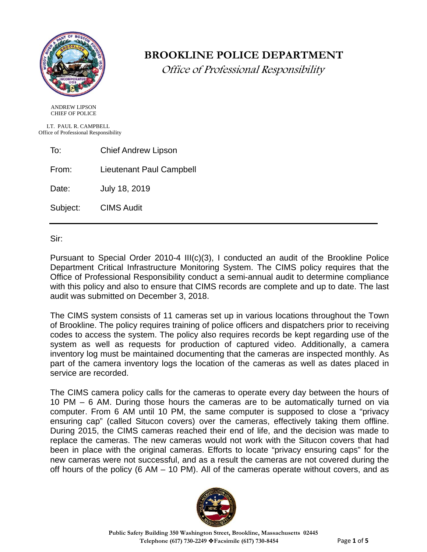

# **BROOKLINE POLICE DEPARTMENT**

Office of Professional Responsibility

 ANDREW LIPSON CHIEF OF POLICE

 LT. PAUL R. CAMPBELL Office of Professional Responsibility

To: Chief Andrew Lipson

From: Lieutenant Paul Campbell

Date: July 18, 2019

Subject: CIMS Audit

Sir:

Pursuant to Special Order 2010-4 III(c)(3), I conducted an audit of the Brookline Police Department Critical Infrastructure Monitoring System. The CIMS policy requires that the Office of Professional Responsibility conduct a semi-annual audit to determine compliance with this policy and also to ensure that CIMS records are complete and up to date. The last audit was submitted on December 3, 2018.

The CIMS system consists of 11 cameras set up in various locations throughout the Town of Brookline. The policy requires training of police officers and dispatchers prior to receiving codes to access the system. The policy also requires records be kept regarding use of the system as well as requests for production of captured video. Additionally, a camera inventory log must be maintained documenting that the cameras are inspected monthly. As part of the camera inventory logs the location of the cameras as well as dates placed in service are recorded.

The CIMS camera policy calls for the cameras to operate every day between the hours of 10 PM – 6 AM. During those hours the cameras are to be automatically turned on via computer. From 6 AM until 10 PM, the same computer is supposed to close a "privacy ensuring cap" (called Situcon covers) over the cameras, effectively taking them offline. During 2015, the CIMS cameras reached their end of life, and the decision was made to replace the cameras. The new cameras would not work with the Situcon covers that had been in place with the original cameras. Efforts to locate "privacy ensuring caps" for the new cameras were not successful, and as a result the cameras are not covered during the off hours of the policy (6 AM – 10 PM). All of the cameras operate without covers, and as

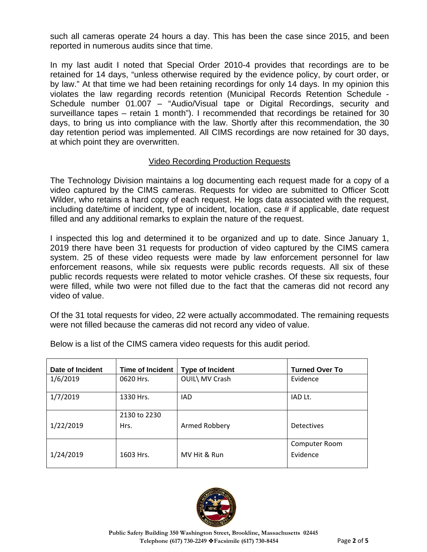such all cameras operate 24 hours a day. This has been the case since 2015, and been reported in numerous audits since that time.

In my last audit I noted that Special Order 2010-4 provides that recordings are to be retained for 14 days, "unless otherwise required by the evidence policy, by court order, or by law." At that time we had been retaining recordings for only 14 days. In my opinion this violates the law regarding records retention (Municipal Records Retention Schedule - Schedule number 01.007 – "Audio/Visual tape or Digital Recordings, security and surveillance tapes – retain 1 month"). I recommended that recordings be retained for 30 days, to bring us into compliance with the law. Shortly after this recommendation, the 30 day retention period was implemented. All CIMS recordings are now retained for 30 days, at which point they are overwritten.

#### Video Recording Production Requests

The Technology Division maintains a log documenting each request made for a copy of a video captured by the CIMS cameras. Requests for video are submitted to Officer Scott Wilder, who retains a hard copy of each request. He logs data associated with the request, including date/time of incident, type of incident, location, case # if applicable, date request filled and any additional remarks to explain the nature of the request.

I inspected this log and determined it to be organized and up to date. Since January 1, 2019 there have been 31 requests for production of video captured by the CIMS camera system. 25 of these video requests were made by law enforcement personnel for law enforcement reasons, while six requests were public records requests. All six of these public records requests were related to motor vehicle crashes. Of these six requests, four were filled, while two were not filled due to the fact that the cameras did not record any video of value.

Of the 31 total requests for video, 22 were actually accommodated. The remaining requests were not filled because the cameras did not record any video of value.

| Date of Incident | <b>Time of Incident</b> | <b>Type of Incident</b> | <b>Turned Over To</b>     |
|------------------|-------------------------|-------------------------|---------------------------|
| 1/6/2019         | 0620 Hrs.               | OUIL\ MV Crash          | Evidence                  |
| 1/7/2019         | 1330 Hrs.               | <b>IAD</b>              | IAD Lt.                   |
| 1/22/2019        | 2130 to 2230<br>Hrs.    | Armed Robbery           | <b>Detectives</b>         |
| 1/24/2019        | 1603 Hrs.               | MV Hit & Run            | Computer Room<br>Evidence |

Below is a list of the CIMS camera video requests for this audit period.

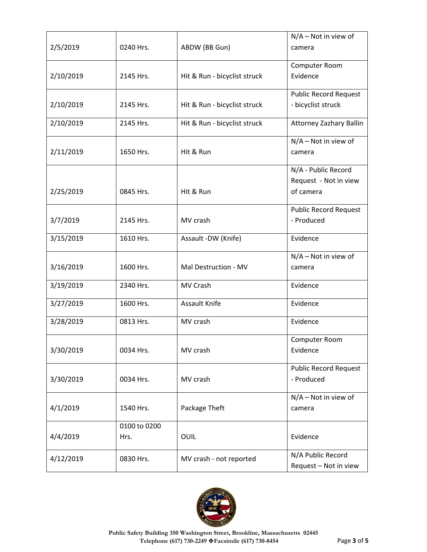| 2/5/2019  | 0240 Hrs.            | ABDW (BB Gun)                | $N/A$ – Not in view of<br>camera                          |
|-----------|----------------------|------------------------------|-----------------------------------------------------------|
| 2/10/2019 | 2145 Hrs.            | Hit & Run - bicyclist struck | Computer Room<br>Evidence                                 |
| 2/10/2019 | 2145 Hrs.            | Hit & Run - bicyclist struck | <b>Public Record Request</b><br>- bicyclist struck        |
| 2/10/2019 | 2145 Hrs.            | Hit & Run - bicyclist struck | Attorney Zazhary Ballin                                   |
| 2/11/2019 | 1650 Hrs.            | Hit & Run                    | N/A - Not in view of<br>camera                            |
| 2/25/2019 | 0845 Hrs.            | Hit & Run                    | N/A - Public Record<br>Request - Not in view<br>of camera |
| 3/7/2019  | 2145 Hrs.            | MV crash                     | <b>Public Record Request</b><br>- Produced                |
| 3/15/2019 | 1610 Hrs.            | Assault -DW (Knife)          | Evidence                                                  |
| 3/16/2019 | 1600 Hrs.            | Mal Destruction - MV         | N/A - Not in view of<br>camera                            |
| 3/19/2019 | 2340 Hrs.            | MV Crash                     | Evidence                                                  |
| 3/27/2019 | 1600 Hrs.            | <b>Assault Knife</b>         | Evidence                                                  |
| 3/28/2019 | 0813 Hrs.            | MV crash                     | Evidence                                                  |
| 3/30/2019 | 0034 Hrs.            | MV crash                     | Computer Room<br>Evidence                                 |
| 3/30/2019 | 0034 Hrs.            | MV crash                     | <b>Public Record Request</b><br>- Produced                |
| 4/1/2019  | 1540 Hrs.            | Package Theft                | $N/A - Not$ in view of<br>camera                          |
| 4/4/2019  | 0100 to 0200<br>Hrs. | OUIL                         | Evidence                                                  |
| 4/12/2019 | 0830 Hrs.            | MV crash - not reported      | N/A Public Record<br>Request - Not in view                |

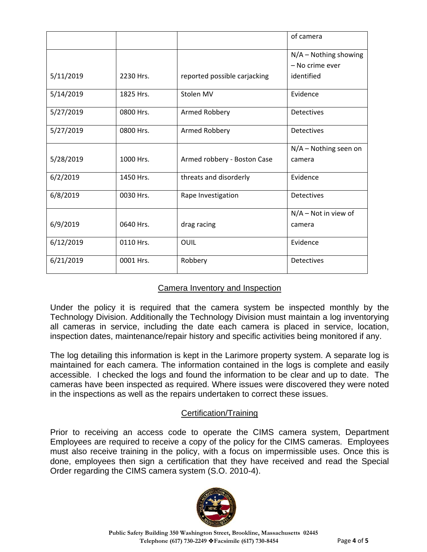|           |           |                              | of camera               |
|-----------|-----------|------------------------------|-------------------------|
|           |           |                              | $N/A$ – Nothing showing |
|           |           |                              | - No crime ever         |
| 5/11/2019 | 2230 Hrs. | reported possible carjacking | identified              |
| 5/14/2019 | 1825 Hrs. | Stolen MV                    | Evidence                |
| 5/27/2019 | 0800 Hrs. | Armed Robbery                | <b>Detectives</b>       |
| 5/27/2019 | 0800 Hrs. | Armed Robbery                | Detectives              |
|           |           |                              | $N/A -$ Nothing seen on |
| 5/28/2019 | 1000 Hrs. | Armed robbery - Boston Case  | camera                  |
| 6/2/2019  | 1450 Hrs. | threats and disorderly       | Evidence                |
| 6/8/2019  | 0030 Hrs. | Rape Investigation           | <b>Detectives</b>       |
|           |           |                              | $N/A - Not$ in view of  |
| 6/9/2019  | 0640 Hrs. | drag racing                  | camera                  |
| 6/12/2019 | 0110 Hrs. | OUIL                         | Evidence                |
| 6/21/2019 | 0001 Hrs. | Robbery                      | <b>Detectives</b>       |

## Camera Inventory and Inspection

Under the policy it is required that the camera system be inspected monthly by the Technology Division. Additionally the Technology Division must maintain a log inventorying all cameras in service, including the date each camera is placed in service, location, inspection dates, maintenance/repair history and specific activities being monitored if any.

The log detailing this information is kept in the Larimore property system. A separate log is maintained for each camera. The information contained in the logs is complete and easily accessible. I checked the logs and found the information to be clear and up to date. The cameras have been inspected as required. Where issues were discovered they were noted in the inspections as well as the repairs undertaken to correct these issues.

## Certification/Training

Prior to receiving an access code to operate the CIMS camera system, Department Employees are required to receive a copy of the policy for the CIMS cameras. Employees must also receive training in the policy, with a focus on impermissible uses. Once this is done, employees then sign a certification that they have received and read the Special Order regarding the CIMS camera system (S.O. 2010-4).